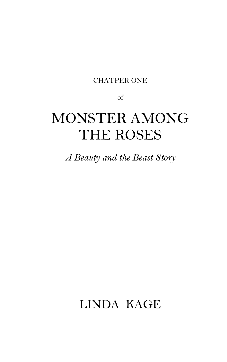#### CHATPER ONE

of

## MONSTER AMONG THE ROSES

*A Beauty and the Beast Story*

### LINDA KAGE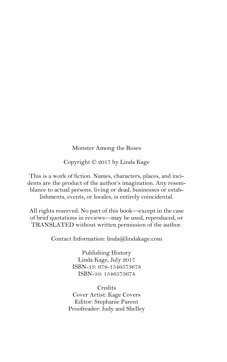#### Monster Among the Roses

Copyright © 2017 by Linda Kage

This is a work of fiction. Names, characters, places, and incidents are the product of the author's imagination. Any resemblance to actual persons. living or dead, businesses or establishments, events, or locales, is entirely coincidental.

All rights reserved. No part of this book—except in the case of brief quotations in reviews—may be used, reproduced, or TRANSLATED without written permission of the author.

Contact Information: linda@lindakage.com

Publishing History Linda Kage, July 2017 ISBN-13: 978-1546573678 ISBN-10: 1546573674

Credits Cover Artist: Kage Covers Editor: Stephanie Parent Proofreader: Judy and Shelley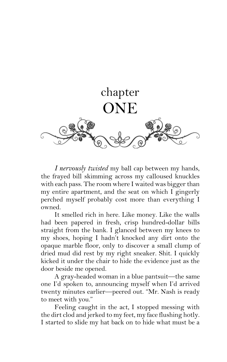

*I nervously twisted* my ball cap between my hands, the frayed bill skimming across my calloused knuckles with each pass. The room where I waited was bigger than my entire apartment, and the seat on which I gingerly perched myself probably cost more than everything I owned.

It smelled rich in here. Like money. Like the walls had been papered in fresh, crisp hundred-dollar bills straight from the bank. I glanced between my knees to my shoes, hoping I hadn't knocked any dirt onto the opaque marble floor, only to discover a small clump of dried mud did rest by my right sneaker. Shit. I quickly kicked it under the chair to hide the evidence just as the door beside me opened.

A gray-headed woman in a blue pantsuit—the same one I'd spoken to, announcing myself when I'd arrived twenty minutes earlier—peered out. "Mr. Nash is ready to meet with you."

Feeling caught in the act, I stopped messing with the dirt clod and jerked to my feet, my face flushing hotly. I started to slide my hat back on to hide what must be a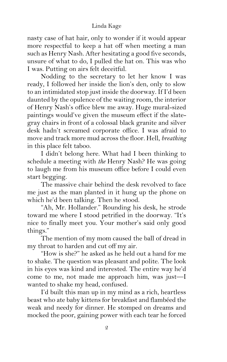#### Linda Kage

nasty case of hat hair, only to wonder if it would appear more respectful to keep a hat off when meeting a man such as Henry Nash. After hesitating a good five seconds, unsure of what to do, I pulled the hat on. This was who I was. Putting on airs felt deceitful.

Nodding to the secretary to let her know I was ready, I followed her inside the lion's den, only to slow to an intimidated stop just inside the doorway. If I'd been daunted by the opulence of the waiting room, the interior of Henry Nash's office blew me away. Huge mural-sized paintings would've given the museum effect if the slategray chairs in front of a colossal black granite and silver desk hadn't screamed corporate office. I was afraid to move and track more mud across the floor. Hell, *breathing* in this place felt taboo.

I didn't belong here. What had I been thinking to schedule a meeting with *the* Henry Nash? He was going to laugh me from his museum office before I could even start begging.

The massive chair behind the desk revolved to face me just as the man planted in it hung up the phone on which he'd been talking. Then he stood.

"Ah, Mr. Hollander." Rounding his desk, he strode toward me where I stood petrified in the doorway. "It's nice to finally meet you. Your mother's said only good things."

The mention of my mom caused the ball of dread in my throat to harden and cut off my air.

"How is she?" he asked as he held out a hand for me to shake. The question was pleasant and polite. The look in his eyes was kind and interested. The entire way he'd come to me, not made me approach him, was just—I wanted to shake my head, confused.

I'd built this man up in my mind as a rich, heartless beast who ate baby kittens for breakfast and flambéed the weak and needy for dinner. He stomped on dreams and mocked the poor, gaining power with each tear he forced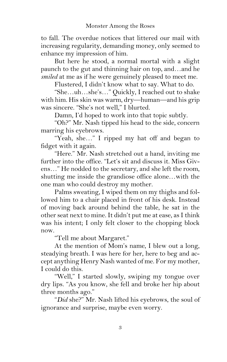to fall. The overdue notices that littered our mail with increasing regularity, demanding money, only seemed to enhance my impression of him.

But here he stood, a normal mortal with a slight paunch to the gut and thinning hair on top, and…and he *smiled* at me as if he were genuinely pleased to meet me.

Flustered, I didn't know what to say. What to do.

"She…uh…she's…" Quickly, I reached out to shake with him. His skin was warm, dry—human—and his grip was sincere. "She's not well," I blurted.

Damn, I'd hoped to work into that topic subtly.

"Oh?" Mr. Nash tipped his head to the side, concern marring his eyebrows.

"Yeah, she…" I ripped my hat off and began to fidget with it again.

"Here." Mr. Nash stretched out a hand, inviting me further into the office. "Let's sit and discuss it. Miss Givens…" He nodded to the secretary, and she left the room, shutting me inside the grandiose office alone…with the one man who could destroy my mother.

Palms sweating, I wiped them on my thighs and followed him to a chair placed in front of his desk. Instead of moving back around behind the table, he sat in the other seat next to mine. It didn't put me at ease, as I think was his intent; I only felt closer to the chopping block now.

"Tell me about Margaret."

At the mention of Mom's name, I blew out a long, steadying breath. I was here for her, here to beg and accept anything Henry Nash wanted of me. For my mother, I could do this.

"Well," I started slowly, swiping my tongue over dry lips. "As you know, she fell and broke her hip about three months ago."

"*Did* she?" Mr. Nash lifted his eyebrows, the soul of ignorance and surprise, maybe even worry.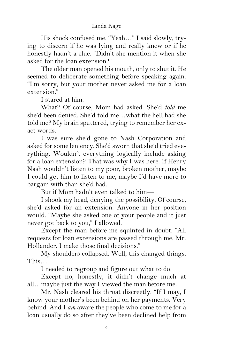His shock confused me. "Yeah…" I said slowly, trying to discern if he was lying and really knew or if he honestly hadn't a clue. "Didn't she mention it when she asked for the loan extension?"

The older man opened his mouth, only to shut it. He seemed to deliberate something before speaking again. "I'm sorry, but your mother never asked me for a loan extension."

I stared at him.

What? Of course, Mom had asked. She'd *told* me she'd been denied. She'd told me…what the hell had she told me? My brain sputtered, trying to remember her exact words.

I was sure she'd gone to Nash Corporation and asked for some leniency. She'd sworn that she'd tried everything. Wouldn't everything logically include asking for a loan extension? That was why I was here. If Henry Nash wouldn't listen to my poor, broken mother, maybe I could get him to listen to me, maybe I'd have more to bargain with than she'd had.

But if Mom hadn't even talked to him—

I shook my head, denying the possibility. Of course, she'd asked for an extension. Anyone in her position would. "Maybe she asked one of your people and it just never got back to you," I allowed.

Except the man before me squinted in doubt. "All requests for loan extensions are passed through me, Mr. Hollander. I make those final decisions."

My shoulders collapsed. Well, this changed things. This…

I needed to regroup and figure out what to do.

Except no, honestly, it didn't change much at all…maybe just the way I viewed the man before me.

Mr. Nash cleared his throat discreetly. "If I may, I know your mother's been behind on her payments. Very behind. And I *am* aware the people who come to me for a loan usually do so after they've been declined help from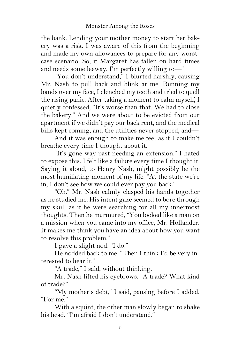the bank. Lending your mother money to start her bakery was a risk. I was aware of this from the beginning and made my own allowances to prepare for any worstcase scenario. So, if Margaret has fallen on hard times and needs some leeway, I'm perfectly willing to—"

"You don't understand," I blurted harshly, causing Mr. Nash to pull back and blink at me. Running my hands over my face, I clenched my teeth and tried to quell the rising panic. After taking a moment to calm myself, I quietly confessed, "It's worse than that. We had to close the bakery." And we were about to be evicted from our apartment if we didn't pay our back rent, and the medical bills kept coming, and the utilities never stopped, and—

And it was enough to make me feel as if I couldn't breathe every time I thought about it.

"It's gone way past needing an extension." I hated to expose this. I felt like a failure every time I thought it. Saying it aloud, to Henry Nash, might possibly be the most humiliating moment of my life. "At the state we're in, I don't see how we could ever pay you back."

"Oh." Mr. Nash calmly clasped his hands together as he studied me. His intent gaze seemed to bore through my skull as if he were searching for all my innermost thoughts. Then he murmured, "You looked like a man on a mission when you came into my office, Mr. Hollander. It makes me think you have an idea about how you want to resolve this problem."

I gave a slight nod. "I do."

He nodded back to me. "Then I think I'd be very interested to hear it."

"A trade," I said, without thinking.

Mr. Nash lifted his eyebrows. "A trade? What kind of trade?"

"My mother's debt," I said, pausing before I added, "For me."

With a squint, the other man slowly began to shake his head. "I'm afraid I don't understand."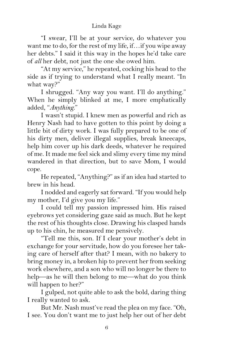"I swear, I'll be at your service, do whatever you want me to do, for the rest of my life, if…if you wipe away her debts." I said it this way in the hopes he'd take care of *all* her debt, not just the one she owed him.

"At my service," he repeated, cocking his head to the side as if trying to understand what I really meant. "In what way?"

I shrugged. "Any way you want. I'll do anything." When he simply blinked at me, I more emphatically added, "*Anything*."

I wasn't stupid. I knew men as powerful and rich as Henry Nash had to have gotten to this point by doing a little bit of dirty work. I was fully prepared to be one of his dirty men, deliver illegal supplies, break kneecaps, help him cover up his dark deeds, whatever he required of me. It made me feel sick and slimy every time my mind wandered in that direction, but to save Mom, I would cope.

He repeated, "Anything?" as if an idea had started to brew in his head.

I nodded and eagerly sat forward. "If you would help my mother, I'd give you my life."

I could tell my passion impressed him. His raised eyebrows yet considering gaze said as much. But he kept the rest of his thoughts close. Drawing his clasped hands up to his chin, he measured me pensively.

"Tell me this, son. If I clear your mother's debt in exchange for your servitude, how do you foresee her taking care of herself after that? I mean, with no bakery to bring money in, a broken hip to prevent her from seeking work elsewhere, and a son who will no longer be there to help—as he will then belong to me—what do you think will happen to her?"

I gulped, not quite able to ask the bold, daring thing I really wanted to ask.

But Mr. Nash must've read the plea on my face. "Oh, I see. You don't want me to just help her out of her debt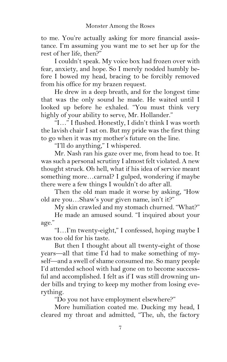to me. You're actually asking for more financial assistance. I'm assuming you want me to set her up for the rest of her life, then?"

I couldn't speak. My voice box had frozen over with fear, anxiety, and hope. So I merely nodded humbly before I bowed my head, bracing to be forcibly removed from his office for my brazen request.

He drew in a deep breath, and for the longest time that was the only sound he made. He waited until I looked up before he exhaled. "You must think very highly of your ability to serve, Mr. Hollander."

"I…" I flushed. Honestly, I didn't think I was worth the lavish chair I sat on. But my pride was the first thing to go when it was my mother's future on the line.

"I'll do anything," I whispered.

Mr. Nash ran his gaze over me, from head to toe. It was such a personal scrutiny I almost felt violated. A new thought struck. Oh hell, what if his idea of service meant something more…carnal? I gulped, wondering if maybe there were a few things I wouldn't do after all.

Then the old man made it worse by asking, "How old are you…Shaw's your given name, isn't it?"

My skin crawled and my stomach churned. "What?"

He made an amused sound. "I inquired about your age."

"I…I'm twenty-eight," I confessed, hoping maybe I was too old for his taste.

But then I thought about all twenty-eight of those years—all that time I'd had to make something of myself—and a swell of shame consumed me. So many people I'd attended school with had gone on to become successful and accomplished. I felt as if I was still drowning under bills and trying to keep my mother from losing everything.

"Do you not have employment elsewhere?"

More humiliation coated me. Ducking my head, I cleared my throat and admitted, "The, uh, the factory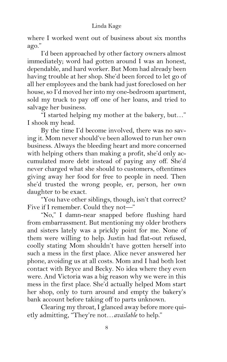#### Linda Kage

where I worked went out of business about six months ago."

I'd been approached by other factory owners almost immediately; word had gotten around I was an honest, dependable, and hard worker. But Mom had already been having trouble at her shop. She'd been forced to let go of all her employees and the bank had just foreclosed on her house, so I'd moved her into my one-bedroom apartment, sold my truck to pay off one of her loans, and tried to salvage her business.

"I started helping my mother at the bakery, but…" I shook my head.

By the time I'd become involved, there was no saving it. Mom never should've been allowed to run her own business. Always the bleeding heart and more concerned with helping others than making a profit, she'd only accumulated more debt instead of paying any off. She'd never charged what she should to customers, oftentimes giving away her food for free to people in need. Then she'd trusted the wrong people, er, person, her own daughter to be exact.

"You have other siblings, though, isn't that correct? Five if I remember. Could they not—"

"No," I damn-near snapped before flushing hard from embarrassment. But mentioning my older brothers and sisters lately was a prickly point for me. None of them were willing to help. Justin had flat-out refused, coolly stating Mom shouldn't have gotten herself into such a mess in the first place. Alice never answered her phone, avoiding us at all costs. Mom and I had both lost contact with Bryce and Becky. No idea where they even were. And Victoria was a big reason why we were in this mess in the first place. She'd actually helped Mom start her shop, only to turn around and empty the bakery's bank account before taking off to parts unknown.

Clearing my throat, I glanced away before more quietly admitting, "They're not…*available* to help."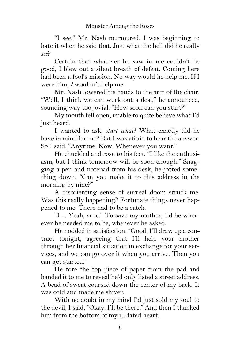"I see," Mr. Nash murmured. I was beginning to hate it when he said that. Just what the hell did he really *see*?

Certain that whatever he saw in me couldn't be good, I blew out a silent breath of defeat. Coming here had been a fool's mission. No way would he help me. If I were him, *I* wouldn't help me.

Mr. Nash lowered his hands to the arm of the chair. "Well, I think we can work out a deal," he announced, sounding way too jovial. "How soon can you start?"

My mouth fell open, unable to quite believe what I'd just heard.

I wanted to ask, *start what*? What exactly did he have in mind for me? But I was afraid to hear the answer. So I said, "Anytime. Now. Whenever you want."

He chuckled and rose to his feet. "I like the enthusiasm, but I think tomorrow will be soon enough." Snagging a pen and notepad from his desk, he jotted something down. "Can you make it to this address in the morning by nine?"

A disorienting sense of surreal doom struck me. Was this really happening? Fortunate things never happened to me. There had to be a catch.

"I… Yeah, sure." To save my mother, I'd be wherever he needed me to be, whenever he asked.

He nodded in satisfaction. "Good. I'll draw up a contract tonight, agreeing that I'll help your mother through her financial situation in exchange for your services, and we can go over it when you arrive. Then you can get started."

He tore the top piece of paper from the pad and handed it to me to reveal he'd only listed a street address. A bead of sweat coursed down the center of my back. It was cold and made me shiver.

With no doubt in my mind I'd just sold my soul to the devil, I said, "Okay. I'll be there." And then I thanked him from the bottom of my ill-fated heart.